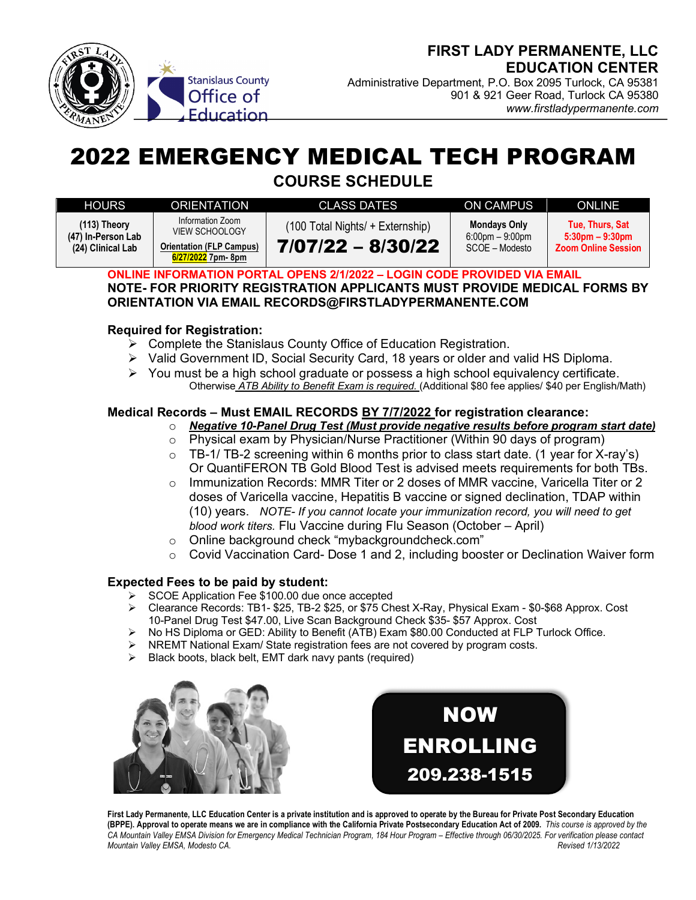

Administrative Department, P.O. Box 2095 Turlock, CA 95381 901 & 921 Geer Road, Turlock CA 95380 *www.firstladypermanente.com* 

# 2022 EMERGENCY MEDICAL TECH PROGRAM

**COURSE SCHEDULE**

| <b>HOURS</b>                                              | <b>ORIENTATION</b>                                                                                 | CLASS DATES                                             | ON CAMPUS                                                     | ONLINE                                                                |
|-----------------------------------------------------------|----------------------------------------------------------------------------------------------------|---------------------------------------------------------|---------------------------------------------------------------|-----------------------------------------------------------------------|
| $(113)$ Theory<br>(47) In-Person Lab<br>(24) Clinical Lab | Information Zoom<br><b>VIEW SCHOOLOGY</b><br><b>Orientation (FLP Campus)</b><br>6/27/2022 7pm- 8pm | (100 Total Nights/ + Externship)<br>$7/07/22 - 8/30/22$ | <b>Mondays Only</b><br>$6:00$ pm $-9:00$ pm<br>SCOE – Modesto | Tue. Thurs. Sat<br>$5:30$ pm $-9:30$ pm<br><b>Zoom Online Session</b> |

**ONLINE INFORMATION PORTAL OPENS 2/1/2022 – LOGIN CODE PROVIDED VIA EMAIL NOTE- FOR PRIORITY REGISTRATION APPLICANTS MUST PROVIDE MEDICAL FORMS BY ORIENTATION VIA EMAIL RECORDS@FIRSTLADYPERMANENTE.COM** 

#### **Required for Registration:**

- $\triangleright$  Complete the Stanislaus County Office of Education Registration.
- $\triangleright$  Valid Government ID, Social Security Card, 18 years or older and valid HS Diploma.
- $\triangleright$  You must be a high school graduate or possess a high school equivalency certificate. Otherwise *ATB Ability to Benefit Exam is required.* (Additional \$80 fee applies/ \$40 per English/Math)

### **Medical Records – Must EMAIL RECORDS BY 7/7/2022 for registration clearance:**

- o *Negative 10-Panel Drug Test (Must provide negative results before program start date)*
- $\circ$  Physical exam by Physician/Nurse Practitioner (Within 90 days of program)
- $\circ$  TB-1/ TB-2 screening within 6 months prior to class start date. (1 year for X-ray's) Or QuantiFERON TB Gold Blood Test is advised meets requirements for both TBs.
- $\circ$  Immunization Records: MMR Titer or 2 doses of MMR vaccine, Varicella Titer or 2 doses of Varicella vaccine, Hepatitis B vaccine or signed declination, TDAP within (10) years. *NOTE- If you cannot locate your immunization record, you will need to get blood work titers.* Flu Vaccine during Flu Season (October – April)
- o Online background check "mybackgroundcheck.com"
- $\circ$  Covid Vaccination Card- Dose 1 and 2, including booster or Declination Waiver form

#### **Expected Fees to be paid by student:**

- Ø SCOE Application Fee \$100.00 due once accepted
- Ø Clearance Records: TB1- \$25, TB-2 \$25, or \$75 Chest X-Ray, Physical Exam \$0-\$68 Approx. Cost 10-Panel Drug Test \$47.00, Live Scan Background Check \$35- \$57 Approx. Cost
- Ø No HS Diploma or GED: Ability to Benefit (ATB) Exam \$80.00 Conducted at FLP Turlock Office.
- $\triangleright$  NREMT National Exam/ State registration fees are not covered by program costs.
- Black boots, black belt, EMT dark navy pants (required)





**First Lady Permanente, LLC Education Center is a private institution and is approved to operate by the Bureau for Private Post Secondary Education (BPPE). Approval to operate means we are in compliance with the California Private Postsecondary Education Act of 2009.** *This course is approved by the CA Mountain Valley EMSA Division for Emergency Medical Technician Program, 184 Hour Program – Effective through 06/30/2025. For verification please contact Mountain Valley EMSA, Modesto CA. Revised 1/13/2022*